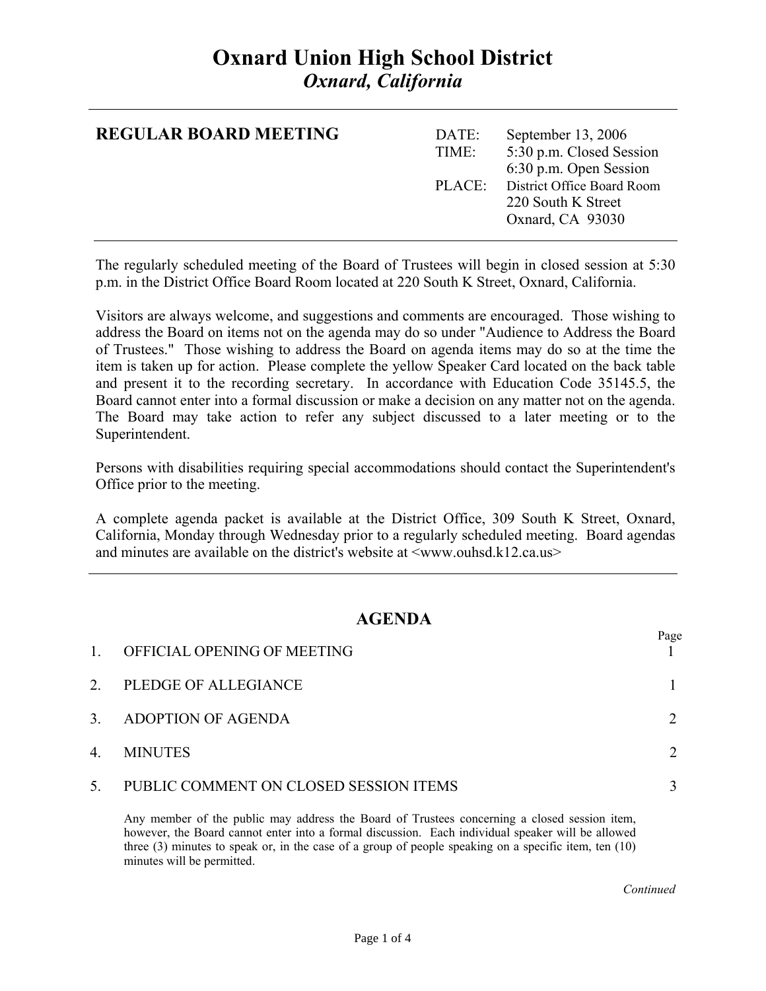## **Oxnard Union High School District**  *Oxnard, California*

| <b>REGULAR BOARD MEETING</b> | DATE:<br>TIME: | September 13, 2006<br>5:30 p.m. Closed Session<br>6:30 p.m. Open Session |
|------------------------------|----------------|--------------------------------------------------------------------------|
|                              | PLACE          | District Office Board Room<br>220 South K Street<br>Oxnard, CA 93030     |

The regularly scheduled meeting of the Board of Trustees will begin in closed session at 5:30 p.m. in the District Office Board Room located at 220 South K Street, Oxnard, California.

Visitors are always welcome, and suggestions and comments are encouraged. Those wishing to address the Board on items not on the agenda may do so under "Audience to Address the Board of Trustees." Those wishing to address the Board on agenda items may do so at the time the item is taken up for action. Please complete the yellow Speaker Card located on the back table and present it to the recording secretary. In accordance with Education Code 35145.5, the Board cannot enter into a formal discussion or make a decision on any matter not on the agenda. The Board may take action to refer any subject discussed to a later meeting or to the Superintendent.

Persons with disabilities requiring special accommodations should contact the Superintendent's Office prior to the meeting.

A complete agenda packet is available at the District Office, 309 South K Street, Oxnard, California, Monday through Wednesday prior to a regularly scheduled meeting. Board agendas and minutes are available on the district's website at  $\langle$ www.ouhsd.k12.ca.us $>$ 

## **AGENDA**

| $\mathbf{1}$ | OFFICIAL OPENING OF MEETING            | Page |
|--------------|----------------------------------------|------|
| 2.           | PLEDGE OF ALLEGIANCE                   |      |
| 3.           | ADOPTION OF AGENDA                     |      |
| 4.           | <b>MINUTES</b>                         |      |
| 5.           | PUBLIC COMMENT ON CLOSED SESSION ITEMS |      |

Any member of the public may address the Board of Trustees concerning a closed session item, however, the Board cannot enter into a formal discussion. Each individual speaker will be allowed three (3) minutes to speak or, in the case of a group of people speaking on a specific item, ten (10) minutes will be permitted.

*Continued Continued*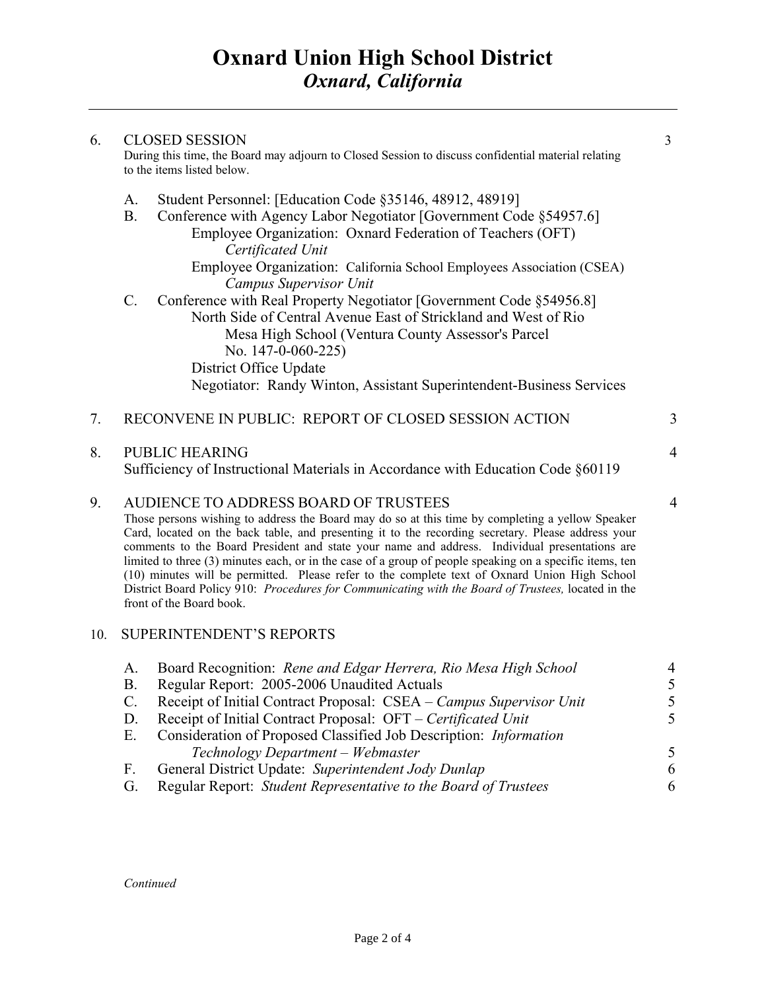| 6. | <b>CLOSED SESSION</b><br>During this time, the Board may adjourn to Closed Session to discuss confidential material relating<br>to the items listed below. |                                                                                                                                                                                                                                                                                                                                                                                                                                                                                                                                                                                                                                                                                                 |                |
|----|------------------------------------------------------------------------------------------------------------------------------------------------------------|-------------------------------------------------------------------------------------------------------------------------------------------------------------------------------------------------------------------------------------------------------------------------------------------------------------------------------------------------------------------------------------------------------------------------------------------------------------------------------------------------------------------------------------------------------------------------------------------------------------------------------------------------------------------------------------------------|----------------|
|    | A.<br><b>B.</b>                                                                                                                                            | Student Personnel: [Education Code §35146, 48912, 48919]<br>Conference with Agency Labor Negotiator [Government Code §54957.6]<br>Employee Organization: Oxnard Federation of Teachers (OFT)<br>Certificated Unit<br>Employee Organization: California School Employees Association (CSEA)                                                                                                                                                                                                                                                                                                                                                                                                      |                |
|    | $\mathcal{C}$ .                                                                                                                                            | Campus Supervisor Unit<br>Conference with Real Property Negotiator [Government Code §54956.8]<br>North Side of Central Avenue East of Strickland and West of Rio<br>Mesa High School (Ventura County Assessor's Parcel<br>No. $147-0-060-225$<br>District Office Update<br>Negotiator: Randy Winton, Assistant Superintendent-Business Services                                                                                                                                                                                                                                                                                                                                                 |                |
| 7. |                                                                                                                                                            | RECONVENE IN PUBLIC: REPORT OF CLOSED SESSION ACTION                                                                                                                                                                                                                                                                                                                                                                                                                                                                                                                                                                                                                                            | 3              |
| 8. |                                                                                                                                                            | <b>PUBLIC HEARING</b><br>Sufficiency of Instructional Materials in Accordance with Education Code §60119                                                                                                                                                                                                                                                                                                                                                                                                                                                                                                                                                                                        | $\overline{4}$ |
| 9. |                                                                                                                                                            | AUDIENCE TO ADDRESS BOARD OF TRUSTEES<br>Those persons wishing to address the Board may do so at this time by completing a yellow Speaker<br>Card, located on the back table, and presenting it to the recording secretary. Please address your<br>comments to the Board President and state your name and address. Individual presentations are<br>limited to three (3) minutes each, or in the case of a group of people speaking on a specific items, ten<br>(10) minutes will be permitted. Please refer to the complete text of Oxnard Union High School<br>District Board Policy 910: Procedures for Communicating with the Board of Trustees, located in the<br>front of the Board book. | $\overline{4}$ |

## 10. SUPERINTENDENT'S REPORTS

| A.          | Board Recognition: Rene and Edgar Herrera, Rio Mesa High School     |               |
|-------------|---------------------------------------------------------------------|---------------|
| Β.          | Regular Report: 2005-2006 Unaudited Actuals                         | 5.            |
| $C_{\cdot}$ | Receipt of Initial Contract Proposal: CSEA – Campus Supervisor Unit | 5.            |
| D.          | Receipt of Initial Contract Proposal: OFT – Certificated Unit       | 5.            |
| Е.          | Consideration of Proposed Classified Job Description: Information   |               |
|             | Technology Department – Webmaster                                   | $\mathcal{F}$ |
| $F_{\cdot}$ | General District Update: Superintendent Jody Dunlap                 | 6             |
| G.          | Regular Report: Student Representative to the Board of Trustees     | 6             |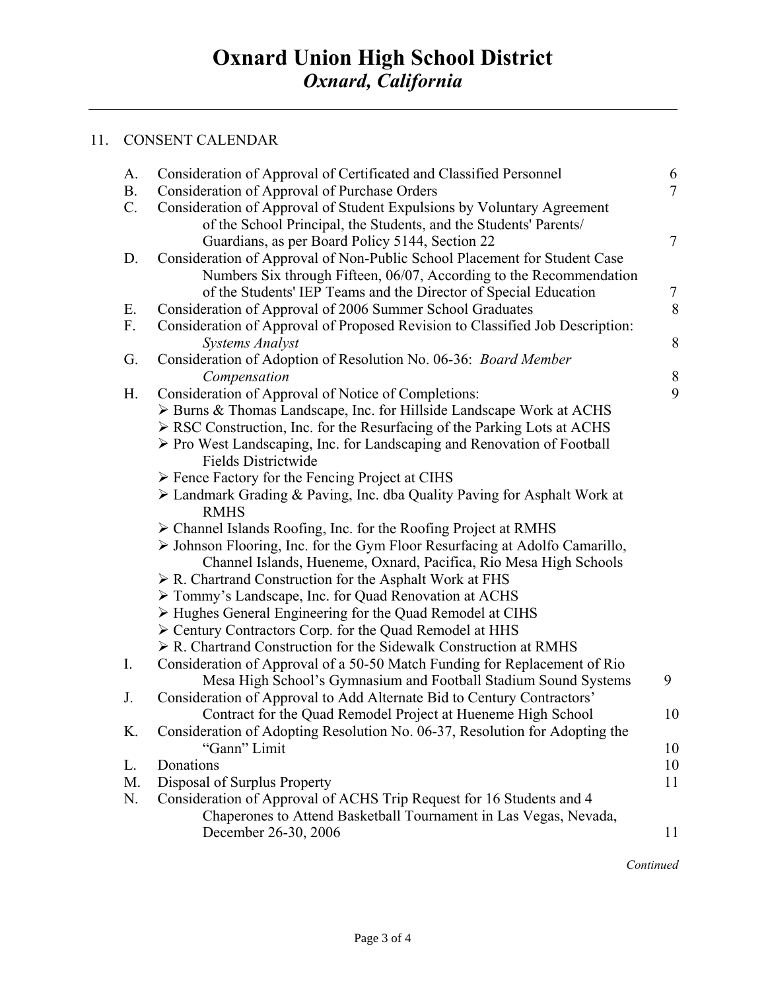## 11. CONSENT CALENDAR

| A.        | Consideration of Approval of Certificated and Classified Personnel                      | 6              |
|-----------|-----------------------------------------------------------------------------------------|----------------|
| <b>B.</b> | Consideration of Approval of Purchase Orders                                            | $\overline{7}$ |
| $C$ .     | Consideration of Approval of Student Expulsions by Voluntary Agreement                  |                |
|           | of the School Principal, the Students, and the Students' Parents/                       |                |
|           | Guardians, as per Board Policy 5144, Section 22                                         | $\overline{7}$ |
| D.        | Consideration of Approval of Non-Public School Placement for Student Case               |                |
|           | Numbers Six through Fifteen, 06/07, According to the Recommendation                     |                |
|           | of the Students' IEP Teams and the Director of Special Education                        | $\tau$         |
| Ε.        | Consideration of Approval of 2006 Summer School Graduates                               | 8              |
| F.        | Consideration of Approval of Proposed Revision to Classified Job Description:           |                |
|           | <b>Systems Analyst</b>                                                                  | 8              |
| G.        | Consideration of Adoption of Resolution No. 06-36: Board Member                         |                |
|           | Compensation                                                                            | $8\,$          |
| Η.        | Consideration of Approval of Notice of Completions:                                     | 9              |
|           | > Burns & Thomas Landscape, Inc. for Hillside Landscape Work at ACHS                    |                |
|           | $\triangleright$ RSC Construction, Inc. for the Resurfacing of the Parking Lots at ACHS |                |
|           | $\triangleright$ Pro West Landscaping, Inc. for Landscaping and Renovation of Football  |                |
|           | <b>Fields Districtwide</b>                                                              |                |
|           | > Fence Factory for the Fencing Project at CIHS                                         |                |
|           | > Landmark Grading & Paving, Inc. dba Quality Paving for Asphalt Work at                |                |
|           | <b>RMHS</b>                                                                             |                |
|           | $\triangleright$ Channel Islands Roofing, Inc. for the Roofing Project at RMHS          |                |
|           | > Johnson Flooring, Inc. for the Gym Floor Resurfacing at Adolfo Camarillo,             |                |
|           | Channel Islands, Hueneme, Oxnard, Pacifica, Rio Mesa High Schools                       |                |
|           | $\triangleright$ R. Chartrand Construction for the Asphalt Work at FHS                  |                |
|           | Tommy's Landscape, Inc. for Quad Renovation at ACHS                                     |                |
|           | $\triangleright$ Hughes General Engineering for the Quad Remodel at CIHS                |                |
|           | Century Contractors Corp. for the Quad Remodel at HHS                                   |                |
|           | $\triangleright$ R. Chartrand Construction for the Sidewalk Construction at RMHS        |                |
| I.        | Consideration of Approval of a 50-50 Match Funding for Replacement of Rio               |                |
|           | Mesa High School's Gymnasium and Football Stadium Sound Systems                         | 9              |
| J.        | Consideration of Approval to Add Alternate Bid to Century Contractors'                  |                |
|           | Contract for the Quad Remodel Project at Hueneme High School                            | 10             |
| K.        | Consideration of Adopting Resolution No. 06-37, Resolution for Adopting the             |                |
|           | "Gann" Limit                                                                            | 10             |
| L.        | Donations                                                                               | 10             |
| M.        | Disposal of Surplus Property                                                            | 11             |
| N.        | Consideration of Approval of ACHS Trip Request for 16 Students and 4                    |                |
|           | Chaperones to Attend Basketball Tournament in Las Vegas, Nevada,                        |                |
|           | December 26-30, 2006                                                                    | 11             |
|           |                                                                                         |                |

 *Continued*